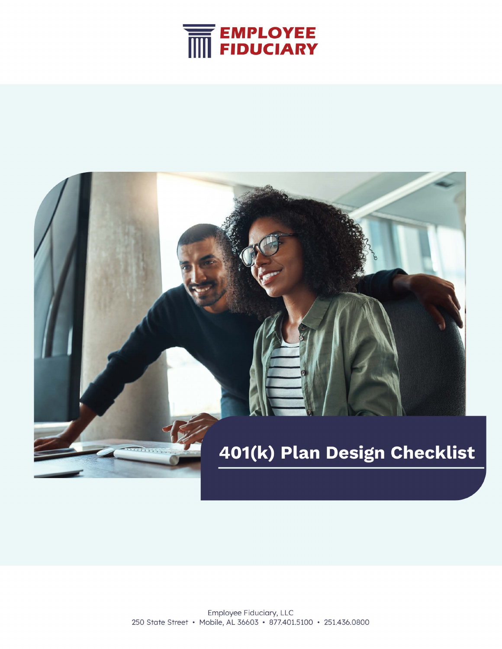

# 401(k) Plan Design Checklist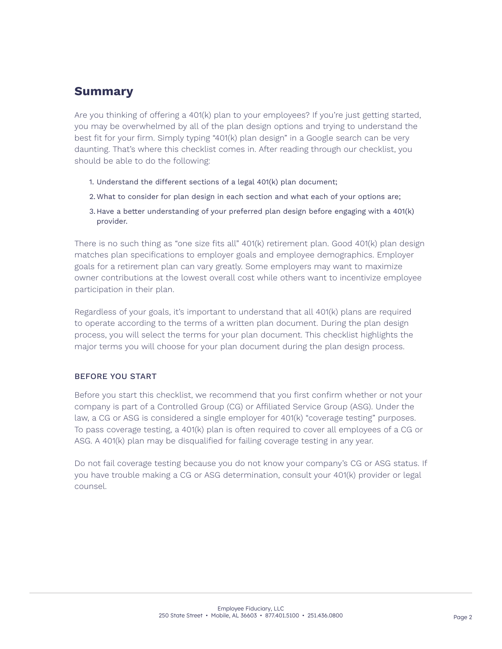# **Summary**

Are you thinking of offering a 401(k) plan to your employees? If you're just getting started, you may be overwhelmed by all of the plan design options and trying to understand the best fit for your firm. Simply typing "401(k) plan design" in a Google search can be very daunting. That's where this checklist comes in. After reading through our checklist, you should be able to do the following:

- 1. Understand the different sections of a legal 401(k) plan document;
- 2.What to consider for plan design in each section and what each of your options are;
- 3. Have a better understanding of your preferred plan design before engaging with a 401(k) provider.

There is no such thing as "one size fits all" 401(k) retirement plan. Good 401(k) plan design matches plan specifications to employer goals and employee demographics. Employer goals for a retirement plan can vary greatly. Some employers may want to maximize owner contributions at the lowest overall cost while others want to incentivize employee participation in their plan.

Regardless of your goals, it's important to understand that all 401(k) plans are required to operate according to the terms of a written plan document. During the plan design process, you will select the terms for your plan document. This checklist highlights the major terms you will choose for your plan document during the plan design process.

### BEFORE YOU START

Before you start this checklist, we recommend that you first confirm whether or not your company is part of a Controlled Group (CG) or Affiliated Service Group (ASG). Under the law, a CG or ASG is considered a single employer for 401(k) "coverage testing" purposes. To pass coverage testing, a 401(k) plan is often required to cover all employees of a CG or ASG. A 401(k) plan may be disqualified for failing coverage testing in any year.

Do not fail coverage testing because you do not know your company's CG or ASG status. If you have trouble making a CG or ASG determination, consult your 401(k) provider or legal counsel.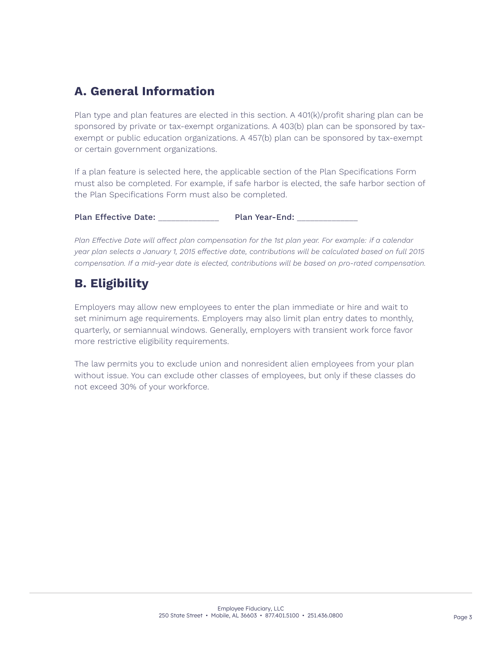# **A. General Information**

Plan type and plan features are elected in this section. A 401(k)/profit sharing plan can be sponsored by private or tax-exempt organizations. A 403(b) plan can be sponsored by taxexempt or public education organizations. A 457(b) plan can be sponsored by tax-exempt or certain government organizations.

If a plan feature is selected here, the applicable section of the Plan Specifications Form must also be completed. For example, if safe harbor is elected, the safe harbor section of the Plan Specifications Form must also be completed.

Plan Effective Date: \_\_\_\_\_\_\_\_\_\_\_\_\_\_\_\_ Plan Year-End:

*Plan Effective Date will affect plan compensation for the 1st plan year. For example: if a calendar year plan selects a January 1, 2015 effective date, contributions will be calculated based on full 2015 compensation. If a mid-year date is elected, contributions will be based on pro-rated compensation.*

# **B. Eligibility**

Employers may allow new employees to enter the plan immediate or hire and wait to set minimum age requirements. Employers may also limit plan entry dates to monthly, quarterly, or semiannual windows. Generally, employers with transient work force favor more restrictive eligibility requirements.

The law permits you to exclude union and nonresident alien employees from your plan without issue. You can exclude other classes of employees, but only if these classes do not exceed 30% of your workforce.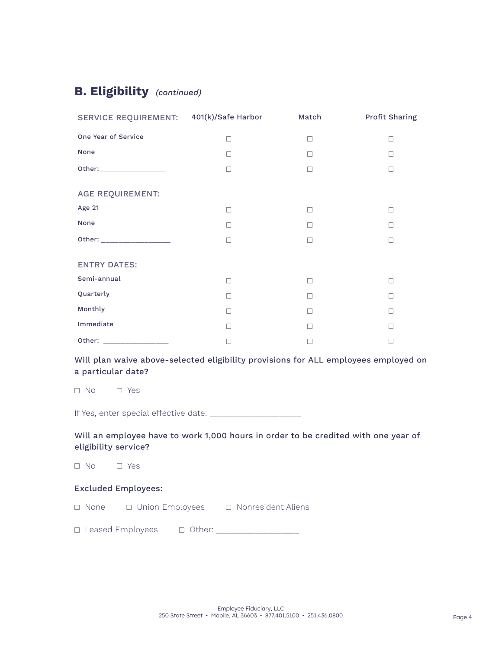# **B. Eligibility** *(continued)*

| SERVICE REQUIREMENT: 401(k)/Safe Harbor |   | Match  | Profit Sharing |
|-----------------------------------------|---|--------|----------------|
| One Year of Service                     |   | П      |                |
| None                                    |   | П      |                |
| Other: ___________________              |   | $\Box$ | $\Box$         |
| <b>AGE REQUIREMENT:</b>                 |   |        |                |
| Age 21                                  | П | $\Box$ | П              |
| None                                    |   | П      |                |
|                                         |   | П      | П              |
| <b>ENTRY DATES:</b>                     |   |        |                |
| Semi-annual                             |   | П      |                |
| Quarterly                               |   | П      |                |
| Monthly                                 | П | П      | П              |
| Immediate                               |   | П      | П              |
| Other: _____________                    |   | П      |                |

### Will plan waive above-selected eligibility provisions for ALL employees employed on a particular date?

No Yes

If Yes, enter special effective date: \_\_\_\_\_\_\_\_\_\_\_\_\_\_\_\_\_\_\_\_\_

### Will an employee have to work 1,000 hours in order to be credited with one year of eligibility service?

 $\Box$  No  $\Box$  Yes

### Excluded Employees:

 $\Box$  None  $\Box$  Union Employees  $\Box$  Nonresident Aliens

Leased Employees Other: \_\_\_\_\_\_\_\_\_\_\_\_\_\_\_\_\_\_\_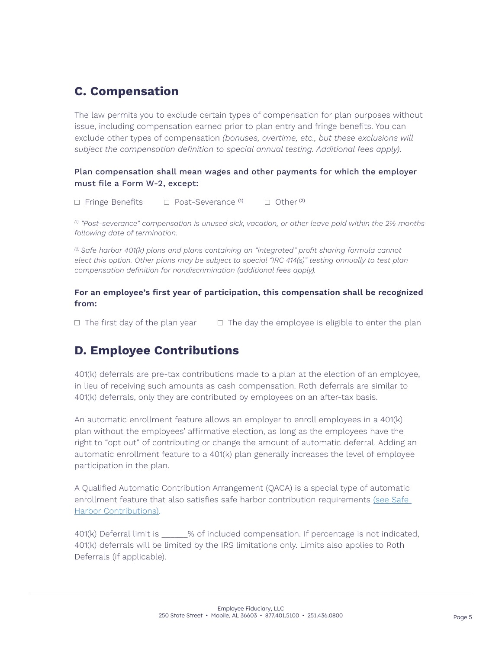# **C. Compensation**

The law permits you to exclude certain types of compensation for plan purposes without issue, including compensation earned prior to plan entry and fringe benefits. You can exclude other types of compensation *(bonuses, overtime, etc., but these exclusions will subject the compensation definition to special annual testing. Additional fees apply)*.

### Plan compensation shall mean wages and other payments for which the employer must file a Form W-2, except:

 $\Box$  Fringe Benefits  $\Box$  Post-Severance (1)  $\Box$  Other (2)

*(1) "Post-severance" compensation is unused sick, vacation, or other leave paid within the 2½ months following date of termination.*

*(2) Safe harbor 401(k) plans and plans containing an "integrated" profit sharing formula cannot elect this option. Other plans may be subject to special "IRC 414(s)" testing annually to test plan compensation definition for nondiscrimination (additional fees apply).*

### **For an employee's first year of participation, this compensation shall be recognized from:**

 $\Box$  The first day of the plan year  $\Box$  The day the employee is eligible to enter the plan

# **D. Employee Contributions**

401(k) deferrals are pre-tax contributions made to a plan at the election of an employee, in lieu of receiving such amounts as cash compensation. Roth deferrals are similar to 401(k) deferrals, only they are contributed by employees on an after-tax basis.

An automatic enrollment feature allows an employer to enroll employees in a 401(k) plan without the employees' affirmative election, as long as the employees have the right to "opt out" of contributing or change the amount of automatic deferral. Adding an automatic enrollment feature to a 401(k) plan generally increases the level of employee participation in the plan.

A Qualified Automatic Contribution Arrangement (QACA) is a special type of automatic enrollment feature that also satisfies safe harbor contribution requirements (see Safe [Harbor Contributions\).](#page-6-0)

401(k) Deferral limit is \_\_\_\_\_\_% of included compensation. If percentage is not indicated, 401(k) deferrals will be limited by the IRS limitations only. Limits also applies to Roth Deferrals (if applicable).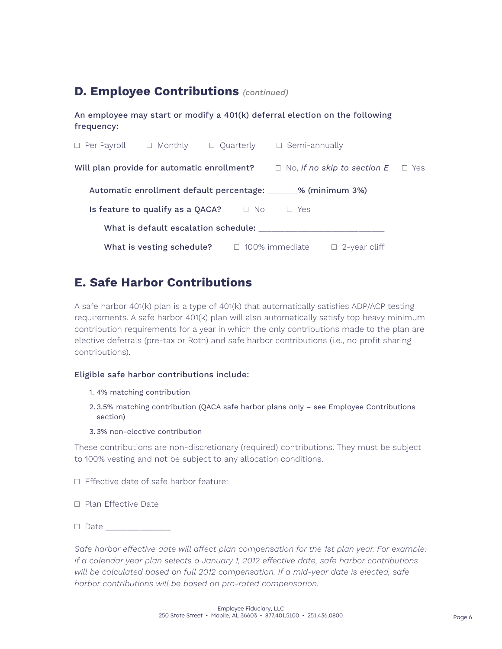# **D. Employee Contributions** *(continued)*

An employee may start or modify a 401(k) deferral election on the following frequency:

| $\Box$ Per Payroll | $\Box$ Monthly                                                | $\Box$ Quarterly | $\Box$ Semi-annually  |                                    |     |
|--------------------|---------------------------------------------------------------|------------------|-----------------------|------------------------------------|-----|
|                    | Will plan provide for automatic enrollment?                   |                  |                       | $\Box$ No, if no skip to section E | Yes |
|                    | Automatic enrollment default percentage: ______% (minimum 3%) |                  |                       |                                    |     |
|                    | Is feature to qualify as a QACA?                              | No.              | Yes                   |                                    |     |
|                    | What is default escalation schedule:                          |                  |                       |                                    |     |
|                    | What is vesting schedule?                                     |                  | $\Box$ 100% immediate | $\Box$ 2-year cliff                |     |

# **E. Safe Harbor Contributions**

A safe harbor 401(k) plan is a type of 401(k) that automatically satisfies ADP/ACP testing requirements. A safe harbor 401(k) plan will also automatically satisfy top heavy minimum contribution requirements for a year in which the only contributions made to the plan are elective deferrals (pre-tax or Roth) and safe harbor contributions (i.e., no profit sharing contributions).

### Eligible safe harbor contributions include:

- 1. 4% matching contribution
- 2. 3.5% matching contribution (QACA safe harbor plans only see Employee Contributions section)
- 3. 3% non-elective contribution

These contributions are non-discretionary (required) contributions. They must be subject to 100% vesting and not be subject to any allocation conditions.

 $\Box$  Effective date of safe harbor feature:

- □ Plan Effective Date
- $\Box$  Date  $\Box$

*Safe harbor effective date will affect plan compensation for the 1st plan year. For example: if a calendar year plan selects a January 1, 2012 effective date, safe harbor contributions will be calculated based on full 2012 compensation. If a mid-year date is elected, safe harbor contributions will be based on pro-rated compensation.*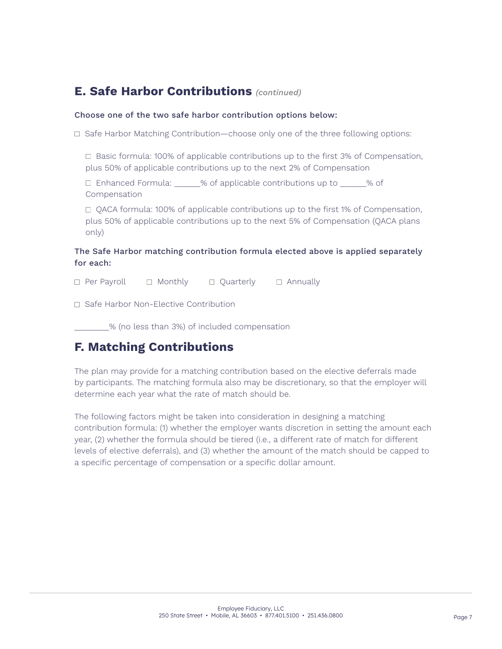# <span id="page-6-0"></span>**E. Safe Harbor Contributions** *(continued)*

### Choose one of the two safe harbor contribution options below:

 $\Box$  Safe Harbor Matching Contribution—choose only one of the three following options:

 $\Box$  Basic formula: 100% of applicable contributions up to the first 3% of Compensation, plus 50% of applicable contributions up to the next 2% of Compensation

□ Enhanced Formula: \_\_\_\_\_% of applicable contributions up to \_\_\_\_\_% of Compensation

 $\Box$  QACA formula: 100% of applicable contributions up to the first 1% of Compensation, plus 50% of applicable contributions up to the next 5% of Compensation (QACA plans only)

### The Safe Harbor matching contribution formula elected above is applied separately for each:

 $\Box$  Per Payroll  $\Box$  Monthly  $\Box$  Ouarterly  $\Box$  Annually

□ Safe Harbor Non-Elective Contribution

\_\_\_\_\_\_\_\_% (no less than 3%) of included compensation

# **F. Matching Contributions**

The plan may provide for a matching contribution based on the elective deferrals made by participants. The matching formula also may be discretionary, so that the employer will determine each year what the rate of match should be.

The following factors might be taken into consideration in designing a matching contribution formula: (1) whether the employer wants discretion in setting the amount each year, (2) whether the formula should be tiered (i.e., a different rate of match for different levels of elective deferrals), and (3) whether the amount of the match should be capped to a specific percentage of compensation or a specific dollar amount.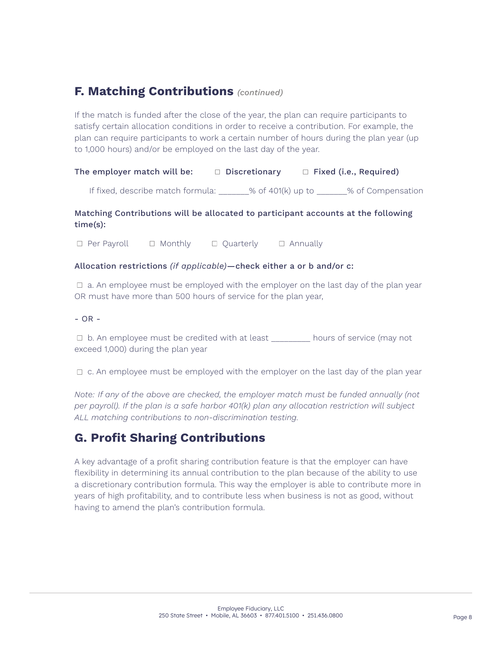# **F. Matching Contributions** *(continued)*

If the match is funded after the close of the year, the plan can require participants to satisfy certain allocation conditions in order to receive a contribution. For example, the plan can require participants to work a certain number of hours during the plan year (up to 1,000 hours) and/or be employed on the last day of the year.

### The employer match will be:  $\Box$  Discretionary  $\Box$  Fixed (i.e., Required)

If fixed, describe match formula:  $\frac{1}{2}$  % of 401(k) up to  $\frac{1}{2}$  % of Compensation

### Matching Contributions will be allocated to participant accounts at the following time(s):

 $\Box$  Per Payroll  $\Box$  Monthly  $\Box$  Quarterly  $\Box$  Annually

### Allocation restrictions *(if applicable)*—check either a or b and/or c:

 $\Box$  a. An employee must be employed with the employer on the last day of the plan year OR must have more than 500 hours of service for the plan year,

### $- OR -$

□ b. An employee must be credited with at least \_\_\_\_\_\_\_\_\_ hours of service (may not exceed 1,000) during the plan year

 $\Box$  c. An employee must be employed with the employer on the last day of the plan year

*Note: If any of the above are checked, the employer match must be funded annually (not per payroll). If the plan is a safe harbor 401(k) plan any allocation restriction will subject ALL matching contributions to non-discrimination testing.*

# **G. Profit Sharing Contributions**

A key advantage of a profit sharing contribution feature is that the employer can have flexibility in determining its annual contribution to the plan because of the ability to use a discretionary contribution formula. This way the employer is able to contribute more in years of high profitability, and to contribute less when business is not as good, without having to amend the plan's contribution formula.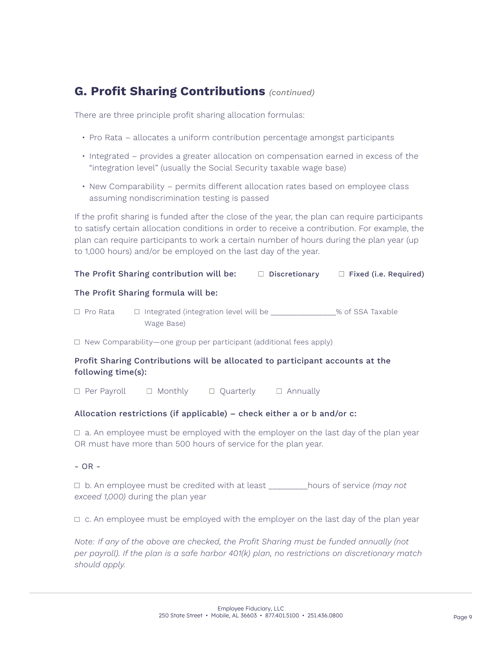# **G. Profit Sharing Contributions** *(continued)*

There are three principle profit sharing allocation formulas:

- Pro Rata allocates a uniform contribution percentage amongst participants
- Integrated provides a greater allocation on compensation earned in excess of the "integration level" (usually the Social Security taxable wage base)
- New Comparability permits different allocation rates based on employee class assuming nondiscrimination testing is passed

If the profit sharing is funded after the close of the year, the plan can require participants to satisfy certain allocation conditions in order to receive a contribution. For example, the plan can require participants to work a certain number of hours during the plan year (up to 1,000 hours) and/or be employed on the last day of the year.

### The Profit Sharing contribution will be:  $\Box$  Discretionary  $\Box$  Fixed (i.e. Required)

### The Profit Sharing formula will be:

 $\Box$  Pro Rata  $\Box$  Integrated (integration level will be  $\Box$  % of SSA Taxable Wage Base)

 $\Box$  New Comparability—one group per participant (additional fees apply)

### Profit Sharing Contributions will be allocated to participant accounts at the following time(s):

 $\Box$  Per Payroll  $\Box$  Monthly  $\Box$  Quarterly  $\Box$  Annually

### Allocation restrictions (if applicable) – check either a or b and/or c:

 $\Box$  a. An employee must be employed with the employer on the last day of the plan year OR must have more than 500 hours of service for the plan year.

- OR -

 b. An employee must be credited with at least \_\_\_\_\_\_\_\_\_hours of service *(may not exceed 1,000)* during the plan year

 $\Box$  c. An employee must be employed with the employer on the last day of the plan year

*Note: If any of the above are checked, the Profit Sharing must be funded annually (not per payroll). If the plan is a safe harbor 401(k) plan, no restrictions on discretionary match should apply.*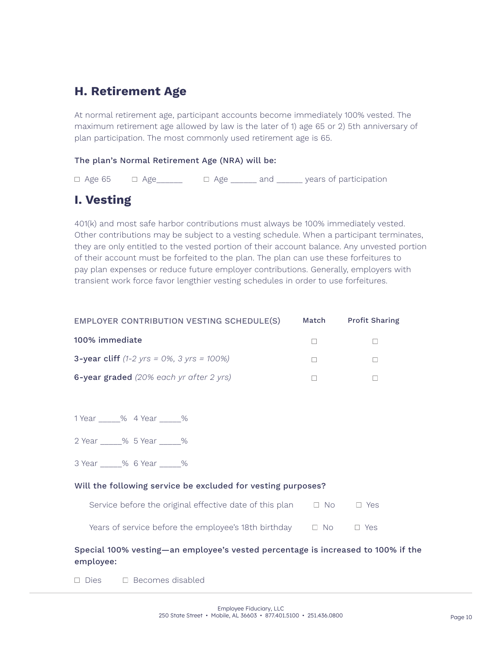# **H. Retirement Age**

At normal retirement age, participant accounts become immediately 100% vested. The maximum retirement age allowed by law is the later of 1) age 65 or 2) 5th anniversary of plan participation. The most commonly used retirement age is 65.

### The plan's Normal Retirement Age (NRA) will be:

 $\Box$  Age 65  $\Box$  Age  $\Box$  Age  $\Box$  and  $\Box$  years of participation

# **I. Vesting**

401(k) and most safe harbor contributions must always be 100% immediately vested. Other contributions may be subject to a vesting schedule. When a participant terminates, they are only entitled to the vested portion of their account balance. Any unvested portion of their account must be forfeited to the plan. The plan can use these forfeitures to pay plan expenses or reduce future employer contributions. Generally, employers with transient work force favor lengthier vesting schedules in order to use forfeitures.

| EMPLOYER CONTRIBUTION VESTING SCHEDULE(S)                                | Match | <b>Profit Sharing</b> |
|--------------------------------------------------------------------------|-------|-----------------------|
| 100% immediate                                                           |       |                       |
| <b>3-year cliff</b> $(1-2 \text{ yrs} = 0\%)$ , $3 \text{ yrs} = 100\%)$ |       |                       |
| 6-year graded (20% each yr after 2 yrs)                                  |       |                       |

1 Year \_\_\_\_\_% 4 Year \_\_\_\_\_%

2 Year % 5 Year %

3 Year \_\_\_\_\_% 6 Year \_\_\_\_\_%

### Will the following service be excluded for vesting purposes?

| Service before the original effective date of this plan | $\Box$ No | $\Box$ Yes |
|---------------------------------------------------------|-----------|------------|
|---------------------------------------------------------|-----------|------------|

Years of service before the employee's 18th birthday  $\Box$  No  $\Box$  Yes

### Special 100% vesting—an employee's vested percentage is increased to 100% if the employee:

 $\Box$  Dies  $\Box$  Becomes disabled